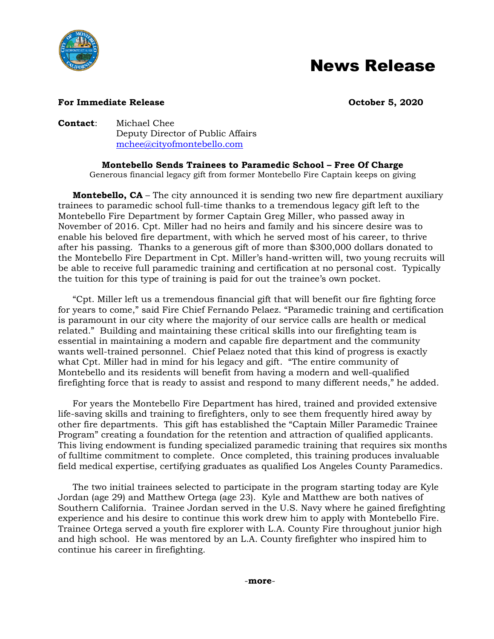

## News Release

## **For Immediate Release Constanting Community Constanting Community Community Community Community Community Community Community Community Community Community Community Community Community Community Community Community Co**

**Contact**: Michael Chee Deputy Director of Public Affairs [mchee@cityofmontebello.com](mailto:mchee@cityofmontebello.com)

**Montebello Sends Trainees to Paramedic School – Free Of Charge**

Generous financial legacy gift from former Montebello Fire Captain keeps on giving

**Montebello, CA** – The city announced it is sending two new fire department auxiliary trainees to paramedic school full-time thanks to a tremendous legacy gift left to the Montebello Fire Department by former Captain Greg Miller, who passed away in November of 2016. Cpt. Miller had no heirs and family and his sincere desire was to enable his beloved fire department, with which he served most of his career, to thrive after his passing. Thanks to a generous gift of more than \$300,000 dollars donated to the Montebello Fire Department in Cpt. Miller's hand-written will, two young recruits will be able to receive full paramedic training and certification at no personal cost. Typically the tuition for this type of training is paid for out the trainee's own pocket.

"Cpt. Miller left us a tremendous financial gift that will benefit our fire fighting force for years to come," said Fire Chief Fernando Pelaez. "Paramedic training and certification is paramount in our city where the majority of our service calls are health or medical related." Building and maintaining these critical skills into our firefighting team is essential in maintaining a modern and capable fire department and the community wants well-trained personnel. Chief Pelaez noted that this kind of progress is exactly what Cpt. Miller had in mind for his legacy and gift. "The entire community of Montebello and its residents will benefit from having a modern and well-qualified firefighting force that is ready to assist and respond to many different needs," he added.

For years the Montebello Fire Department has hired, trained and provided extensive life-saving skills and training to firefighters, only to see them frequently hired away by other fire departments. This gift has established the "Captain Miller Paramedic Trainee Program" creating a foundation for the retention and attraction of qualified applicants. This living endowment is funding specialized paramedic training that requires six months of fulltime commitment to complete. Once completed, this training produces invaluable field medical expertise, certifying graduates as qualified Los Angeles County Paramedics.

The two initial trainees selected to participate in the program starting today are Kyle Jordan (age 29) and Matthew Ortega (age 23). Kyle and Matthew are both natives of Southern California. Trainee Jordan served in the U.S. Navy where he gained firefighting experience and his desire to continue this work drew him to apply with Montebello Fire. Trainee Ortega served a youth fire explorer with L.A. County Fire throughout junior high and high school. He was mentored by an L.A. County firefighter who inspired him to continue his career in firefighting.